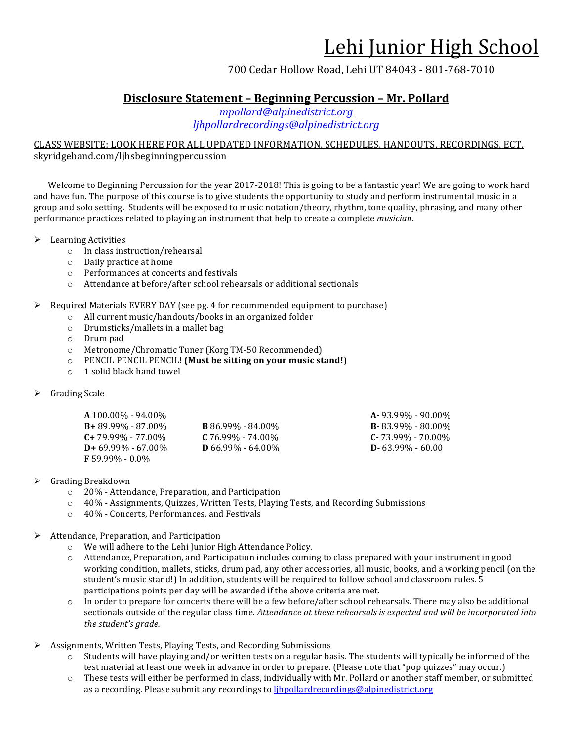### 700 Cedar Hollow Road, Lehi UT 84043 - 801-768-7010

## **Disclosure Statement – Beginning Percussion – Mr. Pollard**

*mpollard@alpinedistrict.org ljhpollardrecordings@alpinedistrict.org*

### CLASS WEBSITE: LOOK HERE FOR ALL UPDATED INFORMATION, SCHEDULES, HANDOUTS, RECORDINGS, ECT. skyridgeband.com/ljhsbeginningpercussion

Welcome to Beginning Percussion for the year 2017-2018! This is going to be a fantastic year! We are going to work hard and have fun. The purpose of this course is to give students the opportunity to study and perform instrumental music in a group and solo setting. Students will be exposed to music notation/theory, rhythm, tone quality, phrasing, and many other performance practices related to playing an instrument that help to create a complete *musician*.

 $\blacktriangleright$  Learning Activities

- o In class instruction/rehearsal
- $\circ$  Daily practice at home
- o Performances at concerts and festivals
- o Attendance at before/after school rehearsals or additional sectionals

#### $\triangleright$  Required Materials EVERY DAY (see pg. 4 for recommended equipment to purchase)

- o All current music/handouts/books in an organized folder
- $\circ$  Drumsticks/mallets in a mallet bag
- o Drum pad
- o Metronome/Chromatic Tuner (Korg TM-50 Recommended)
- o PENCIL PENCIL PENCIL! **(Must be sitting on your music stand!)**
- $\circ$  1 solid black hand towel

#### $\triangleright$  Grading Scale

| A 100.00% - 94.00%      |                          | $A - 93.99\% - 90.00\%$ |
|-------------------------|--------------------------|-------------------------|
| $B + 89.99\% - 87.00\%$ | <b>B</b> 86.99% - 84.00% | $B - 83.99\% - 80.00\%$ |
| $C+79.99\% - 77.00\%$   | $C$ 76.99% - 74.00%      | $C - 73.99\% - 70.00\%$ |
| $D+69.99\% - 67.00\%$   | $D\,66.99\% - 64.00\%$   | $D - 63.99\% - 60.00$   |
| $F 59.99\% - 0.0\%$     |                          |                         |

#### $\triangleright$  Grading Breakdown

- o 20% Attendance, Preparation, and Participation
- $\circ$  40% Assignments, Quizzes, Written Tests, Playing Tests, and Recording Submissions
- o 40% Concerts, Performances, and Festivals
- $\triangleright$  Attendance, Preparation, and Participation
	- $\circ$  We will adhere to the Lehi Junior High Attendance Policy.
	- $\circ$  Attendance, Preparation, and Participation includes coming to class prepared with your instrument in good working condition, mallets, sticks, drum pad, any other accessories, all music, books, and a working pencil (on the student's music stand!) In addition, students will be required to follow school and classroom rules. 5 participations points per day will be awarded if the above criteria are met.
	- $\circ$  In order to prepare for concerts there will be a few before/after school rehearsals. There may also be additional sectionals outside of the regular class time. Attendance at these rehearsals is expected and will be incorporated into the student's grade.
- $\triangleright$  Assignments, Written Tests, Playing Tests, and Recording Submissions
	- $\circ$  Students will have playing and/or written tests on a regular basis. The students will typically be informed of the test material at least one week in advance in order to prepare. (Please note that "pop quizzes" may occur.)
	- $\circ$  These tests will either be performed in class, individually with Mr. Pollard or another staff member, or submitted as a recording. Please submit any recordings to *lihpollardrecordings@alpinedistrict.org*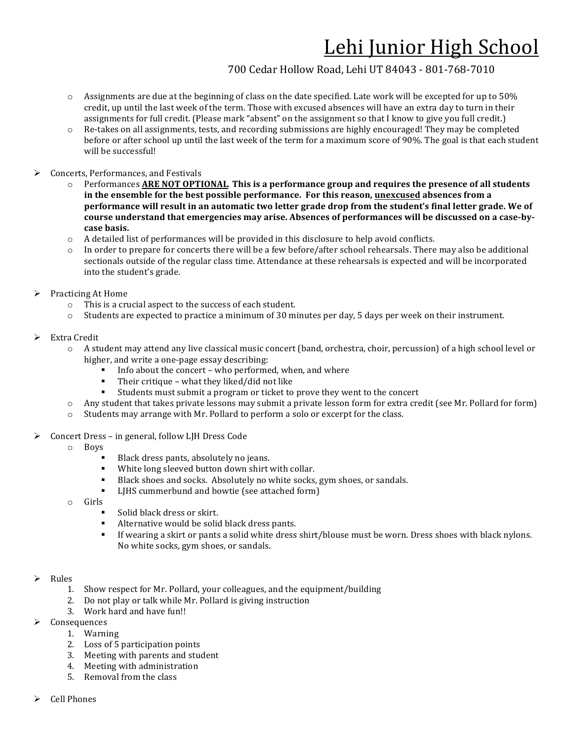## 700 Cedar Hollow Road, Lehi UT 84043 - 801-768-7010

- $\circ$  Assignments are due at the beginning of class on the date specified. Late work will be excepted for up to 50% credit, up until the last week of the term. Those with excused absences will have an extra day to turn in their assignments for full credit. (Please mark "absent" on the assignment so that I know to give you full credit.)
- $\circ$  Re-takes on all assignments, tests, and recording submissions are highly encouraged! They may be completed before or after school up until the last week of the term for a maximum score of 90%. The goal is that each student will be successful!
- $\triangleright$  Concerts, Performances, and Festivals
	- Performances **ARE NOT OPTIONAL**. This is a performance group and requires the presence of all students in the ensemble for the best possible performance. For this reason, **unexcused** absences from a **performance will result in an automatic two letter grade drop from the student's final letter grade. We of** course understand that emergencies may arise. Absences of performances will be discussed on a case-by**case basis.**
	- A detailed list of performances will be provided in this disclosure to help avoid conflicts.
	- $\circ$  In order to prepare for concerts there will be a few before/after school rehearsals. There may also be additional sectionals outside of the regular class time. Attendance at these rehearsals is expected and will be incorporated into the student's grade.
- $\triangleright$  Practicing At Home
	- $\circ$  This is a crucial aspect to the success of each student.
	- $\circ$  Students are expected to practice a minimum of 30 minutes per day, 5 days per week on their instrument.
- $\triangleright$  Extra Credit
	- $\circ$  A student may attend any live classical music concert (band, orchestra, choir, percussion) of a high school level or higher, and write a one-page essay describing:
		- Info about the concert who performed, when, and where
		- Their critique what they liked/did not like
		- Students must submit a program or ticket to prove they went to the concert
	- $\circ$  Any student that takes private lessons may submit a private lesson form for extra credit (see Mr. Pollard for form)
	- $\circ$  Students may arrange with Mr. Pollard to perform a solo or excerpt for the class.
- $\triangleright$  Concert Dress in general, follow LJH Dress Code
	- o Boys
		- Black dress pants, absolutely no jeans.
		- White long sleeved button down shirt with collar.
		- Black shoes and socks. Absolutely no white socks, gym shoes, or sandals.
		- LJHS cummerbund and bowtie (see attached form)
	- o Girls
		- Solid black dress or skirt.
		- Alternative would be solid black dress pants.
		- **•** If wearing a skirt or pants a solid white dress shirt/blouse must be worn. Dress shoes with black nylons. No white socks, gym shoes, or sandals.

#### $\triangleright$  Rules

- 1. Show respect for Mr. Pollard, your colleagues, and the equipment/building
- 2. Do not play or talk while Mr. Pollard is giving instruction
- 3. Work hard and have fun!!
- $\triangleright$  Consequences
	- 1. Warning
		- 2. Loss of 5 participation points
		- 3. Meeting with parents and student
		- 4. Meeting with administration
		- 5. Removal from the class
- $\triangleright$  Cell Phones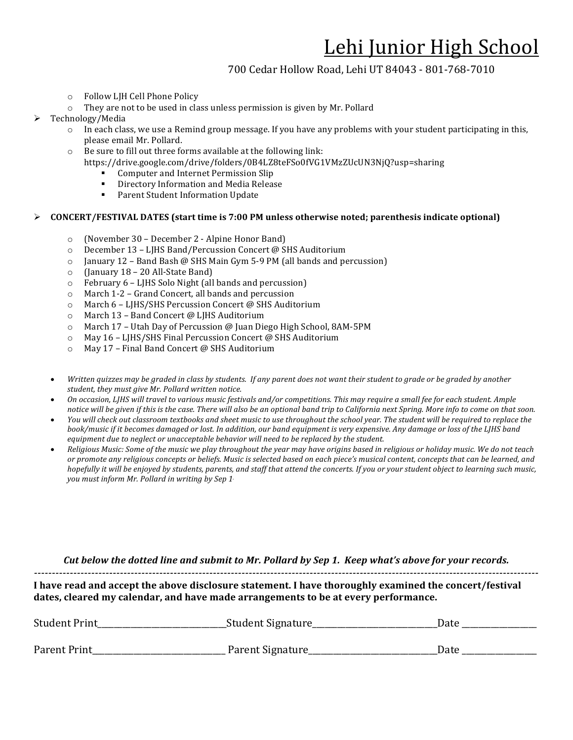### 700 Cedar Hollow Road, Lehi UT 84043 - 801-768-7010

- o Follow LJH Cell Phone Policy
- $\circ$  They are not to be used in class unless permission is given by Mr. Pollard
- Technology/Media
	- $\circ$  In each class, we use a Remind group message. If you have any problems with your student participating in this, please email Mr. Pollard.
	- $\circ$  Be sure to fill out three forms available at the following link:
		- https://drive.google.com/drive/folders/0B4LZ8teFSo0fVG1VMzZUcUN3NjQ?usp=sharing
			- Computer and Internet Permission Slip
			- **•** Directory Information and Media Release
			- Parent Student Information Update

#### $\triangleright$  CONCERT/FESTIVAL DATES (start time is 7:00 PM unless otherwise noted; parenthesis indicate optional)

- $\circ$  (November 30 December 2 Alpine Honor Band)
- o December 13 LJHS Band/Percussion Concert @ SHS Auditorium
- $\circ$  January 12 Band Bash @ SHS Main Gym 5-9 PM (all bands and percussion)
- $\circ$  (January 18 20 All-State Band)
- $\circ$  February 6 LJHS Solo Night (all bands and percussion)
- $\circ$  March 1-2 Grand Concert, all bands and percussion
- o March 6 LJHS/SHS Percussion Concert @ SHS Auditorium
- $\circ$  March 13 Band Concert @ LJHS Auditorium
- o March 17 Utah Day of Percussion @ Juan Diego High School, 8AM-5PM
- $\circ$  May 16 LJHS/SHS Final Percussion Concert @ SHS Auditorium
- $\circ$  May 17 Final Band Concert @ SHS Auditorium
- Written quizzes may be graded in class by students. If any parent does not want their student to grade or be graded by another student, they must give Mr. Pollard written notice.
- On occasion, LJHS will travel to various music festivals and/or competitions. This may require a small fee for each student. Ample notice will be given if this is the case. There will also be an optional band trip to California next Spring. More info to come on that soon.
- You will check out classroom textbooks and sheet music to use throughout the school year. The student will be required to replace the *book/music* if it becomes damaged or lost. In addition, our band equipment is very expensive. Any damage or loss of the LJHS band *equipment due to neglect or unacceptable behavior will need to be replaced by the student.*
- Religious Music: Some of the music we play throughout the year may have origins based in religious or holiday music. We do not teach or promote any religious concepts or beliefs. Music is selected based on each piece's musical content, concepts that can be learned, and *hopefully* it will be enjoyed by students, parents, and staff that attend the concerts. If you or your student object to learning such music, *you* must inform Mr. Pollard in writing by Sep 1.

*Cut* below the dotted line and submit to Mr. Pollard by Sep 1. Keep what's above for your records.

*---------------------------------------------------------------------------------------------------------------------------------------------*

I have read and accept the above disclosure statement. I have thoroughly examined the concert/festival dates, cleared my calendar, and have made arrangements to be at every performance.

| <b>Student Print</b> | _Student Signature_ | Date |  |
|----------------------|---------------------|------|--|
| Parent Print         | Parent Signature    | Date |  |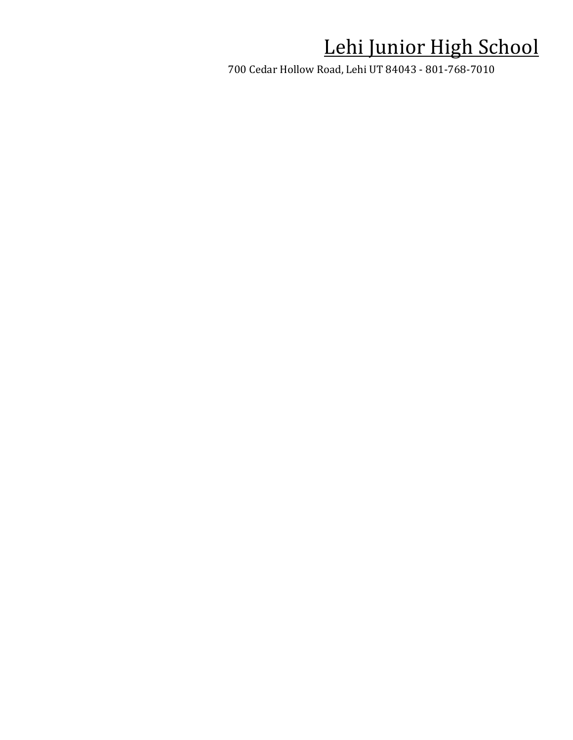700 Cedar Hollow Road, Lehi UT 84043 - 801-768-7010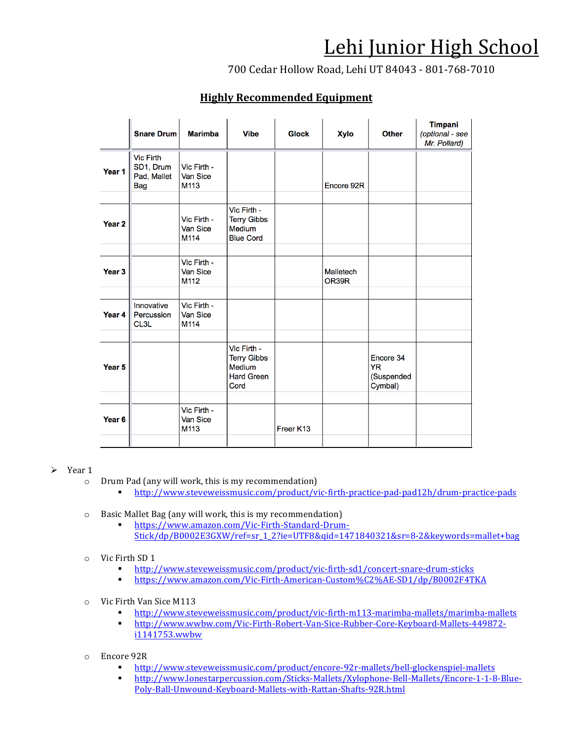700 Cedar Hollow Road, Lehi UT 84043 - 801-768-7010

### **Highly Recommended Equipment**

|                   | <b>Snare Drum</b>                                          | <b>Marimba</b>                         | <b>Vibe</b>                                                                     | <b>Glock</b> | <b>Xylo</b>        | <b>Other</b>                                    | <b>Timpani</b><br>(optional - see<br>Mr. Pollard) |
|-------------------|------------------------------------------------------------|----------------------------------------|---------------------------------------------------------------------------------|--------------|--------------------|-------------------------------------------------|---------------------------------------------------|
| Year 1            | <b>Vic Firth</b><br>SD1, Drum<br>Pad, Mallet<br><b>Bag</b> | Vic Firth -<br>Van Sice<br>M113        |                                                                                 |              | Encore 92R         |                                                 |                                                   |
| Year <sub>2</sub> |                                                            | Vic Firth -<br>Van Sice<br>M114        | Vic Firth -<br><b>Terry Gibbs</b><br><b>Medium</b><br><b>Blue Cord</b>          |              |                    |                                                 |                                                   |
| Year <sub>3</sub> |                                                            | Vic Firth -<br><b>Van Sice</b><br>M112 |                                                                                 |              | Malletech<br>OR39R |                                                 |                                                   |
| Year 4            | Innovative<br>Percussion<br>CL3L                           | Vic Firth -<br><b>Van Sice</b><br>M114 |                                                                                 |              |                    |                                                 |                                                   |
| Year <sub>5</sub> |                                                            |                                        | Vic Firth -<br><b>Terry Gibbs</b><br><b>Medium</b><br><b>Hard Green</b><br>Cord |              |                    | Encore 34<br><b>YR</b><br>(Suspended<br>Cymbal) |                                                   |
| Year <sub>6</sub> |                                                            | Vic Firth -<br><b>Van Sice</b><br>M113 |                                                                                 | Freer K13    |                    |                                                 |                                                   |

#### $\triangleright$  Year 1

- $\circ$  Drum Pad (any will work, this is my recommendation)
	- § http://www.steveweissmusic.com/product/vic-firth-practice-pad-pad12h/drum-practice-pads
- $\circ$  Basic Mallet Bag (any will work, this is my recommendation)
	- § https://www.amazon.com/Vic-Firth-Standard-Drum-Stick/dp/B0002E3GXW/ref=sr\_1\_2?ie=UTF8&qid=1471840321&sr=8-2&keywords=mallet+bag
- o Vic Firth SD 1
	- § http://www.steveweissmusic.com/product/vic-firth-sd1/concert-snare-drum-sticks
	- § https://www.amazon.com/Vic-Firth-American-Custom%C2%AE-SD1/dp/B0002F4TKA
- o Vic Firth Van Sice M113
	- § http://www.steveweissmusic.com/product/vic-firth-m113-marimba-mallets/marimba-mallets
	- § http://www.wwbw.com/Vic-Firth-Robert-Van-Sice-Rubber-Core-Keyboard-Mallets-449872 i1141753.wwbw
- o Encore 92R
	- § http://www.steveweissmusic.com/product/encore-92r-mallets/bell-glockenspiel-mallets
	- § http://www.lonestarpercussion.com/Sticks-Mallets/Xylophone-Bell-Mallets/Encore-1-1-8-Blue-Poly-Ball-Unwound-Keyboard-Mallets-with-Rattan-Shafts-92R.html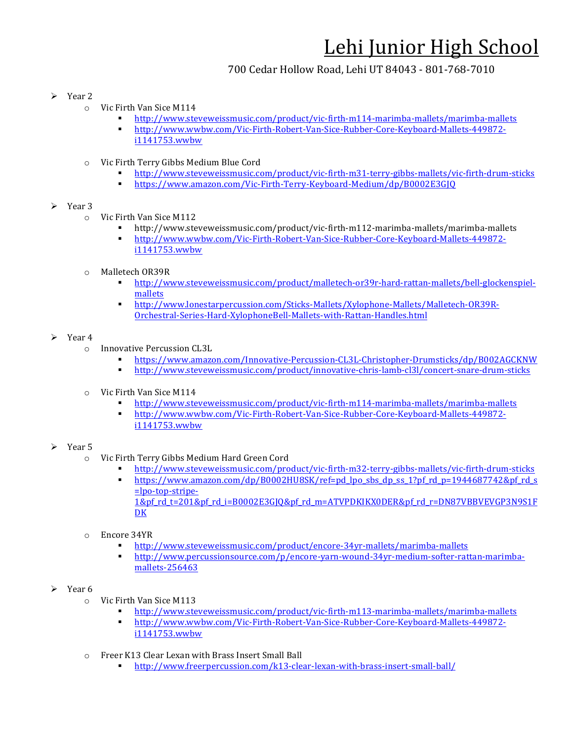## 700 Cedar Hollow Road, Lehi UT 84043 - 801-768-7010

- $\triangleright$  Year 2
	- $\circ$  Vic Firth Van Sice M114
		- § http://www.steveweissmusic.com/product/vic-firth-m114-marimba-mallets/marimba-mallets
		- § http://www.wwbw.com/Vic-Firth-Robert-Van-Sice-Rubber-Core-Keyboard-Mallets-449872 i1141753.wwbw
	- Vic Firth Terry Gibbs Medium Blue Cord
		- § http://www.steveweissmusic.com/product/vic-firth-m31-terry-gibbs-mallets/vic-firth-drum-sticks
		- § https://www.amazon.com/Vic-Firth-Terry-Keyboard-Medium/dp/B0002E3GJQ

### $\triangleright$  Year 3

- o Vic Firth Van Sice M112
	- § http://www.steveweissmusic.com/product/vic-firth-m112-marimba-mallets/marimba-mallets
	- § http://www.wwbw.com/Vic-Firth-Robert-Van-Sice-Rubber-Core-Keyboard-Mallets-449872 i1141753.wwbw
- o Malletech OR39R
	- § http://www.steveweissmusic.com/product/malletech-or39r-hard-rattan-mallets/bell-glockenspielmallets
	- § http://www.lonestarpercussion.com/Sticks-Mallets/Xylophone-Mallets/Malletech-OR39R-Orchestral-Series-Hard-XylophoneBell-Mallets-with-Rattan-Handles.html

#### $\triangleright$  Year 4

- o Innovative Percussion CL3L
	- § https://www.amazon.com/Innovative-Percussion-CL3L-Christopher-Drumsticks/dp/B002AGCKNW
	- § http://www.steveweissmusic.com/product/innovative-chris-lamb-cl3l/concert-snare-drum-sticks
- $\circ$  Vic Firth Van Sice M114
	- § http://www.steveweissmusic.com/product/vic-firth-m114-marimba-mallets/marimba-mallets
	- § http://www.wwbw.com/Vic-Firth-Robert-Van-Sice-Rubber-Core-Keyboard-Mallets-449872 i1141753.wwbw

### Year 5

- o Vic Firth Terry Gibbs Medium Hard Green Cord
	- § http://www.steveweissmusic.com/product/vic-firth-m32-terry-gibbs-mallets/vic-firth-drum-sticks **EXECUTE:** https://www.amazon.com/dp/B0002HU8SK/ref=pd\_lpo\_sbs\_dp\_ss\_1?pf\_rd\_p=1944687742&pf\_rd\_s =lpo-top-stripe-1&pf rd t=201&pf rd i=B0002E3GJQ&pf rd m=ATVPDKIKX0DER&pf rd r=DN87VBBVEVGP3N9S1F DK
- $\circ$  Encore 34YR
	- § http://www.steveweissmusic.com/product/encore-34yr-mallets/marimba-mallets
	- § http://www.percussionsource.com/p/encore-yarn-wound-34yr-medium-softer-rattan-marimbamallets-256463
- $\triangleright$  Year 6
	- o Vic Firth Van Sice M113
		- § http://www.steveweissmusic.com/product/vic-firth-m113-marimba-mallets/marimba-mallets
		- § http://www.wwbw.com/Vic-Firth-Robert-Van-Sice-Rubber-Core-Keyboard-Mallets-449872 i1141753.wwbw
	- $\circ$  Freer K13 Clear Lexan with Brass Insert Small Ball
		- § http://www.freerpercussion.com/k13-clear-lexan-with-brass-insert-small-ball/